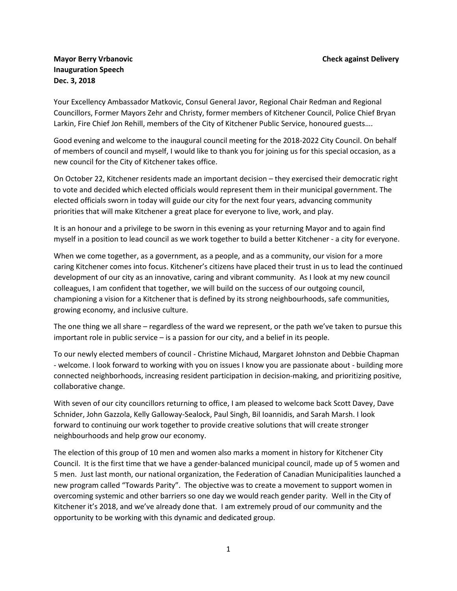## **Mayor Berry Vrbanovic Check against Delivery Inauguration Speech Dec. 3, 2018**

Your Excellency Ambassador Matkovic, Consul General Javor, Regional Chair Redman and Regional Councillors, Former Mayors Zehr and Christy, former members of Kitchener Council, Police Chief Bryan Larkin, Fire Chief Jon Rehill, members of the City of Kitchener Public Service, honoured guests….

Good evening and welcome to the inaugural council meeting for the 2018-2022 City Council. On behalf of members of council and myself, I would like to thank you for joining us for this special occasion, as a new council for the City of Kitchener takes office.

On October 22, Kitchener residents made an important decision – they exercised their democratic right to vote and decided which elected officials would represent them in their municipal government. The elected officials sworn in today will guide our city for the next four years, advancing community priorities that will make Kitchener a great place for everyone to live, work, and play.

It is an honour and a privilege to be sworn in this evening as your returning Mayor and to again find myself in a position to lead council as we work together to build a better Kitchener - a city for everyone.

When we come together, as a government, as a people, and as a community, our vision for a more caring Kitchener comes into focus. Kitchener's citizens have placed their trust in us to lead the continued development of our city as an innovative, caring and vibrant community. As I look at my new council colleagues, I am confident that together, we will build on the success of our outgoing council, championing a vision for a Kitchener that is defined by its strong neighbourhoods, safe communities, growing economy, and inclusive culture.

The one thing we all share – regardless of the ward we represent, or the path we've taken to pursue this important role in public service – is a passion for our city, and a belief in its people.

To our newly elected members of council - Christine Michaud, Margaret Johnston and Debbie Chapman - welcome. I look forward to working with you on issues I know you are passionate about - building more connected neighborhoods, increasing resident participation in decision-making, and prioritizing positive, collaborative change.

With seven of our city councillors returning to office, I am pleased to welcome back Scott Davey, Dave Schnider, John Gazzola, Kelly Galloway-Sealock, Paul Singh, Bil Ioannidis, and Sarah Marsh. I look forward to continuing our work together to provide creative solutions that will create stronger neighbourhoods and help grow our economy.

The election of this group of 10 men and women also marks a moment in history for Kitchener City Council. It is the first time that we have a gender-balanced municipal council, made up of 5 women and 5 men. Just last month, our national organization, the Federation of Canadian Municipalities launched a new program called "Towards Parity". The objective was to create a movement to support women in overcoming systemic and other barriers so one day we would reach gender parity. Well in the City of Kitchener it's 2018, and we've already done that. I am extremely proud of our community and the opportunity to be working with this dynamic and dedicated group.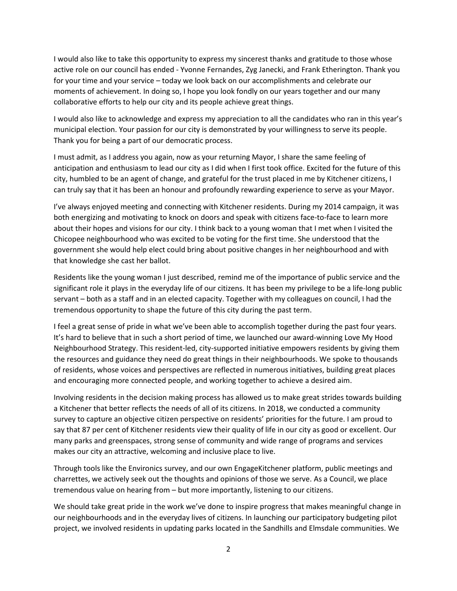I would also like to take this opportunity to express my sincerest thanks and gratitude to those whose active role on our council has ended - Yvonne Fernandes, Zyg Janecki, and Frank Etherington. Thank you for your time and your service – today we look back on our accomplishments and celebrate our moments of achievement. In doing so, I hope you look fondly on our years together and our many collaborative efforts to help our city and its people achieve great things.

I would also like to acknowledge and express my appreciation to all the candidates who ran in this year's municipal election. Your passion for our city is demonstrated by your willingness to serve its people. Thank you for being a part of our democratic process.

I must admit, as I address you again, now as your returning Mayor, I share the same feeling of anticipation and enthusiasm to lead our city as I did when I first took office. Excited for the future of this city, humbled to be an agent of change, and grateful for the trust placed in me by Kitchener citizens, I can truly say that it has been an honour and profoundly rewarding experience to serve as your Mayor.

I've always enjoyed meeting and connecting with Kitchener residents. During my 2014 campaign, it was both energizing and motivating to knock on doors and speak with citizens face-to-face to learn more about their hopes and visions for our city. I think back to a young woman that I met when I visited the Chicopee neighbourhood who was excited to be voting for the first time. She understood that the government she would help elect could bring about positive changes in her neighbourhood and with that knowledge she cast her ballot.

Residents like the young woman I just described, remind me of the importance of public service and the significant role it plays in the everyday life of our citizens. It has been my privilege to be a life-long public servant – both as a staff and in an elected capacity. Together with my colleagues on council, I had the tremendous opportunity to shape the future of this city during the past term.

I feel a great sense of pride in what we've been able to accomplish together during the past four years. It's hard to believe that in such a short period of time, we launched our award-winning Love My Hood Neighbourhood Strategy. This resident-led, city-supported initiative empowers residents by giving them the resources and guidance they need do great things in their neighbourhoods. We spoke to thousands of residents, whose voices and perspectives are reflected in numerous initiatives, building great places and encouraging more connected people, and working together to achieve a desired aim.

Involving residents in the decision making process has allowed us to make great strides towards building a Kitchener that better reflects the needs of all of its citizens. In 2018, we conducted a community survey to capture an objective citizen perspective on residents' priorities for the future. I am proud to say that 87 per cent of Kitchener residents view their quality of life in our city as good or excellent. Our many parks and greenspaces, strong sense of community and wide range of programs and services makes our city an attractive, welcoming and inclusive place to live.

Through tools like the Environics survey, and our own EngageKitchener platform, public meetings and charrettes, we actively seek out the thoughts and opinions of those we serve. As a Council, we place tremendous value on hearing from – but more importantly, listening to our citizens.

We should take great pride in the work we've done to inspire progress that makes meaningful change in our neighbourhoods and in the everyday lives of citizens. In launching our participatory budgeting pilot project, we involved residents in updating parks located in the Sandhills and Elmsdale communities. We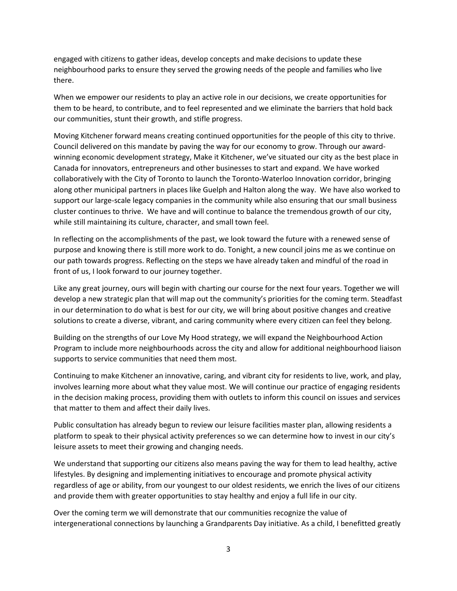engaged with citizens to gather ideas, develop concepts and make decisions to update these neighbourhood parks to ensure they served the growing needs of the people and families who live there.

When we empower our residents to play an active role in our decisions, we create opportunities for them to be heard, to contribute, and to feel represented and we eliminate the barriers that hold back our communities, stunt their growth, and stifle progress.

Moving Kitchener forward means creating continued opportunities for the people of this city to thrive. Council delivered on this mandate by paving the way for our economy to grow. Through our awardwinning economic development strategy, Make it Kitchener, we've situated our city as the best place in Canada for innovators, entrepreneurs and other businesses to start and expand. We have worked collaboratively with the City of Toronto to launch the Toronto-Waterloo Innovation corridor, bringing along other municipal partners in places like Guelph and Halton along the way. We have also worked to support our large-scale legacy companies in the community while also ensuring that our small business cluster continues to thrive. We have and will continue to balance the tremendous growth of our city, while still maintaining its culture, character, and small town feel.

In reflecting on the accomplishments of the past, we look toward the future with a renewed sense of purpose and knowing there is still more work to do. Tonight, a new council joins me as we continue on our path towards progress. Reflecting on the steps we have already taken and mindful of the road in front of us, I look forward to our journey together.

Like any great journey, ours will begin with charting our course for the next four years. Together we will develop a new strategic plan that will map out the community's priorities for the coming term. Steadfast in our determination to do what is best for our city, we will bring about positive changes and creative solutions to create a diverse, vibrant, and caring community where every citizen can feel they belong.

Building on the strengths of our Love My Hood strategy, we will expand the Neighbourhood Action Program to include more neighbourhoods across the city and allow for additional neighbourhood liaison supports to service communities that need them most.

Continuing to make Kitchener an innovative, caring, and vibrant city for residents to live, work, and play, involves learning more about what they value most. We will continue our practice of engaging residents in the decision making process, providing them with outlets to inform this council on issues and services that matter to them and affect their daily lives.

Public consultation has already begun to review our leisure facilities master plan, allowing residents a platform to speak to their physical activity preferences so we can determine how to invest in our city's leisure assets to meet their growing and changing needs.

We understand that supporting our citizens also means paving the way for them to lead healthy, active lifestyles. By designing and implementing initiatives to encourage and promote physical activity regardless of age or ability, from our youngest to our oldest residents, we enrich the lives of our citizens and provide them with greater opportunities to stay healthy and enjoy a full life in our city.

Over the coming term we will demonstrate that our communities recognize the value of intergenerational connections by launching a Grandparents Day initiative. As a child, I benefitted greatly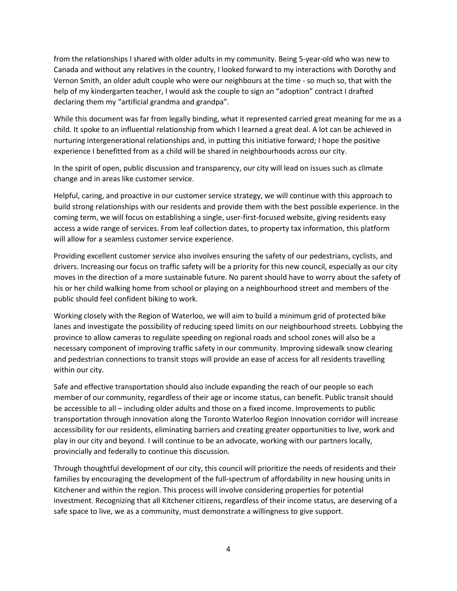from the relationships I shared with older adults in my community. Being 5-year-old who was new to Canada and without any relatives in the country, I looked forward to my interactions with Dorothy and Vernon Smith, an older adult couple who were our neighbours at the time - so much so, that with the help of my kindergarten teacher, I would ask the couple to sign an "adoption" contract I drafted declaring them my "artificial grandma and grandpa".

While this document was far from legally binding, what it represented carried great meaning for me as a child. It spoke to an influential relationship from which I learned a great deal. A lot can be achieved in nurturing intergenerational relationships and, in putting this initiative forward; I hope the positive experience I benefitted from as a child will be shared in neighbourhoods across our city.

In the spirit of open, public discussion and transparency, our city will lead on issues such as climate change and in areas like customer service.

Helpful, caring, and proactive in our customer service strategy, we will continue with this approach to build strong relationships with our residents and provide them with the best possible experience. In the coming term, we will focus on establishing a single, user-first-focused website, giving residents easy access a wide range of services. From leaf collection dates, to property tax information, this platform will allow for a seamless customer service experience.

Providing excellent customer service also involves ensuring the safety of our pedestrians, cyclists, and drivers. Increasing our focus on traffic safety will be a priority for this new council, especially as our city moves in the direction of a more sustainable future. No parent should have to worry about the safety of his or her child walking home from school or playing on a neighbourhood street and members of the public should feel confident biking to work.

Working closely with the Region of Waterloo, we will aim to build a minimum grid of protected bike lanes and investigate the possibility of reducing speed limits on our neighbourhood streets. Lobbying the province to allow cameras to regulate speeding on regional roads and school zones will also be a necessary component of improving traffic safety in our community. Improving sidewalk snow clearing and pedestrian connections to transit stops will provide an ease of access for all residents travelling within our city.

Safe and effective transportation should also include expanding the reach of our people so each member of our community, regardless of their age or income status, can benefit. Public transit should be accessible to all – including older adults and those on a fixed income. Improvements to public transportation through innovation along the Toronto Waterloo Region Innovation corridor will increase accessibility for our residents, eliminating barriers and creating greater opportunities to live, work and play in our city and beyond. I will continue to be an advocate, working with our partners locally, provincially and federally to continue this discussion.

Through thoughtful development of our city, this council will prioritize the needs of residents and their families by encouraging the development of the full-spectrum of affordability in new housing units in Kitchener and within the region. This process will involve considering properties for potential investment. Recognizing that all Kitchener citizens, regardless of their income status, are deserving of a safe space to live, we as a community, must demonstrate a willingness to give support.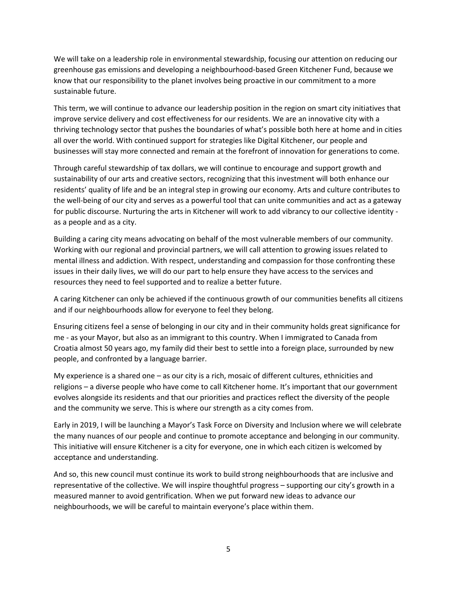We will take on a leadership role in environmental stewardship, focusing our attention on reducing our greenhouse gas emissions and developing a neighbourhood-based Green Kitchener Fund, because we know that our responsibility to the planet involves being proactive in our commitment to a more sustainable future.

This term, we will continue to advance our leadership position in the region on smart city initiatives that improve service delivery and cost effectiveness for our residents. We are an innovative city with a thriving technology sector that pushes the boundaries of what's possible both here at home and in cities all over the world. With continued support for strategies like Digital Kitchener, our people and businesses will stay more connected and remain at the forefront of innovation for generations to come.

Through careful stewardship of tax dollars, we will continue to encourage and support growth and sustainability of our arts and creative sectors, recognizing that this investment will both enhance our residents' quality of life and be an integral step in growing our economy. Arts and culture contributes to the well-being of our city and serves as a powerful tool that can unite communities and act as a gateway for public discourse. Nurturing the arts in Kitchener will work to add vibrancy to our collective identity as a people and as a city.

Building a caring city means advocating on behalf of the most vulnerable members of our community. Working with our regional and provincial partners, we will call attention to growing issues related to mental illness and addiction. With respect, understanding and compassion for those confronting these issues in their daily lives, we will do our part to help ensure they have access to the services and resources they need to feel supported and to realize a better future.

A caring Kitchener can only be achieved if the continuous growth of our communities benefits all citizens and if our neighbourhoods allow for everyone to feel they belong.

Ensuring citizens feel a sense of belonging in our city and in their community holds great significance for me - as your Mayor, but also as an immigrant to this country. When I immigrated to Canada from Croatia almost 50 years ago, my family did their best to settle into a foreign place, surrounded by new people, and confronted by a language barrier.

My experience is a shared one – as our city is a rich, mosaic of different cultures, ethnicities and religions – a diverse people who have come to call Kitchener home. It's important that our government evolves alongside its residents and that our priorities and practices reflect the diversity of the people and the community we serve. This is where our strength as a city comes from.

Early in 2019, I will be launching a Mayor's Task Force on Diversity and Inclusion where we will celebrate the many nuances of our people and continue to promote acceptance and belonging in our community. This initiative will ensure Kitchener is a city for everyone, one in which each citizen is welcomed by acceptance and understanding.

And so, this new council must continue its work to build strong neighbourhoods that are inclusive and representative of the collective. We will inspire thoughtful progress – supporting our city's growth in a measured manner to avoid gentrification. When we put forward new ideas to advance our neighbourhoods, we will be careful to maintain everyone's place within them.